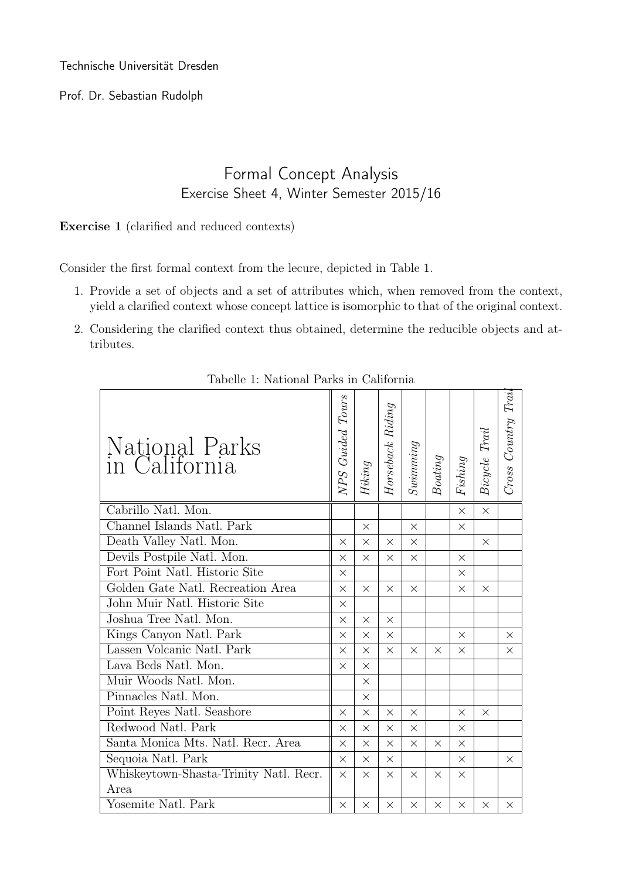Technische Universität Dresden

Prof. Dr. Sebastian Rudolph

## Formal Concept Analysis Exercise Sheet 4, Winter Semester 2015/16

Exercise 1 (clarified and reduced contexts)

Consider the first formal context from the lecure, depicted in Table 1.

- 1. Provide a set of objects and a set of attributes which, when removed from the context, yield a clarified context whose concept lattice is isomorphic to that of the original context.
- 2. Considering the clarified context thus obtained, determine the reducible objects and attributes.

| National Parks<br>in California        | NPS Guided Tours | $Hiking$ | Horseback Riding | Summing  | $\label{eq:1} Boting$ | $Fishing$ | Bicycle Trail | $Cross$ Country Trai |
|----------------------------------------|------------------|----------|------------------|----------|-----------------------|-----------|---------------|----------------------|
| Cabrillo Natl. Mon.                    |                  |          |                  |          |                       | $\times$  | $\times$      |                      |
| Channel Islands Natl. Park             |                  | $\times$ |                  | $\times$ |                       | $\times$  |               |                      |
| Death Valley Natl. Mon.                | $\times$         | $\times$ | $\times$         | $\times$ |                       |           | $\times$      |                      |
| Devils Postpile Natl. Mon.             | X                | X        | $\times$         | $\times$ |                       | $\times$  |               |                      |
| Fort Point Natl. Historic Site         | $\times$         |          |                  |          |                       | $\times$  |               |                      |
| Golden Gate Natl. Recreation Area      | $\times$         | $\times$ | $\times$         | $\times$ |                       | $\times$  | $\times$      |                      |
| John Muir Natl. Historic Site          | $\times$         |          |                  |          |                       |           |               |                      |
| Joshua Tree Natl. Mon.                 | $\times$         | $\times$ | $\times$         |          |                       |           |               |                      |
| Kings Canyon Natl. Park                | $\times$         | $\times$ | $\times$         |          |                       | $\times$  |               | $\times$             |
| Lassen Volcanic Natl. Park             | $\times$         | $\times$ | $\times$         | $\times$ | $\times$              | $\times$  |               | $\times$             |
| Lava Beds Natl. Mon.                   | $\times$         | $\times$ |                  |          |                       |           |               |                      |
| Muir Woods Natl. Mon.                  |                  | $\times$ |                  |          |                       |           |               |                      |
| Pinnacles Natl. Mon.                   |                  | $\times$ |                  |          |                       |           |               |                      |
| Point Reyes Natl. Seashore             | $\times$         | $\times$ | $\times$         | $\times$ |                       | $\times$  | $\times$      |                      |
| Redwood Natl. Park                     | $\times$         | $\times$ | $\times$         | $\times$ |                       | $\times$  |               |                      |
| Santa Monica Mts. Natl. Recr. Area     | $\times$         | $\times$ | $\times$         | $\times$ | $\times$              | $\times$  |               |                      |
| Sequoia Natl. Park                     | X                | X        | X                |          |                       | $\times$  |               | $\times$             |
| Whiskeytown-Shasta-Trinity Natl. Recr. | $\times$         | $\times$ | $\times$         | $\times$ | $\times$              | $\times$  |               |                      |
| Area                                   |                  |          |                  |          |                       |           |               |                      |
| Yosemite Natl. Park                    | X                | $\times$ | $\times$         | $\times$ | $\times$              | $\times$  | ×             | X                    |

Tabelle 1: National Parks in California